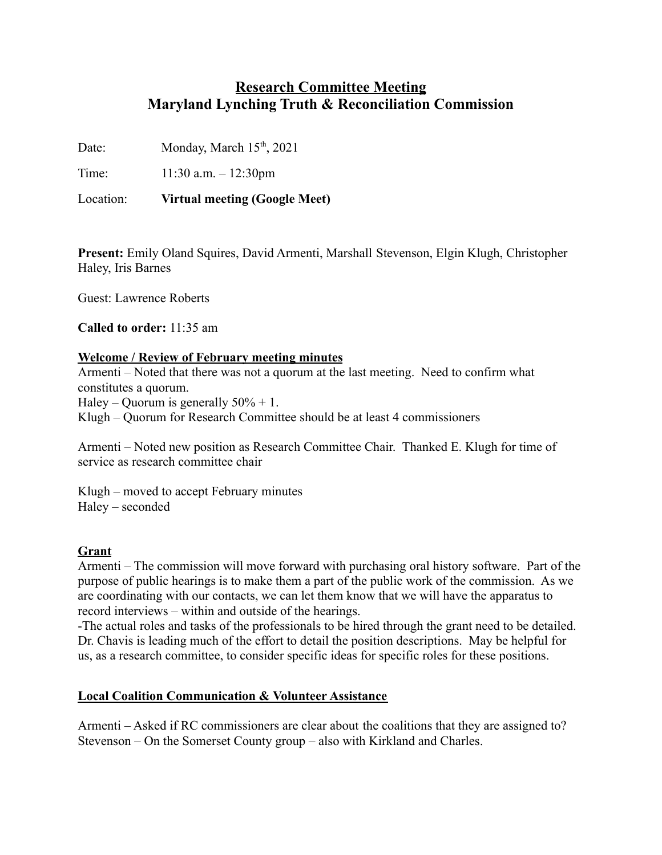# **Research Committee Meeting Maryland Lynching Truth & Reconciliation Commission Research**<br> **Internal Lynching Tru**<br>
Monday, March 15<sup>th</sup>, 2021<br>
1:30 a.m. – 12:30pm<br>
Virtual meeting (Google<br>
Dland Squires, David Arm<br>
s<br>
Roberts<br>
11:35 am

Date: Monday, March 15<sup>th</sup>, 2021

Time: 11:30 a.m. – 12:30pm

Location: **Virtual meeting (Google Meet)**

**Present:** Emily Oland Squires, David Armenti, Marshall Stevenson, Elgin Klugh, Christopher Haley, Iris Barnes

Guest: Lawrence Roberts

**Called to order:** 11:35 am

### **Welcome / Review of February meeting minutes**

Armenti – Noted that there was not a quorum at the last meeting. Need to confirm what constitutes a quorum. Haley – Quorum is generally  $50\% + 1$ . Klugh – Quorum for Research Committee should be at least 4 commissioners

Armenti – Noted new position as Research Committee Chair. Thanked E. Klugh for time of service as research committee chair

Klugh – moved to accept February minutes Haley – seconded

# **Grant**

Armenti – The commission will move forward with purchasing oral history software. Part of the purpose of public hearings is to make them a part of the public work of the commission. As we are coordinating with our contacts, we can let them know that we will have the apparatus to record interviews – within and outside of the hearings.

-The actual roles and tasks of the professionals to be hired through the grant need to be detailed. Dr. Chavis is leading much of the effort to detail the position descriptions. May be helpful for us, as a research committee, to consider specific ideas for specific roles for these positions.

# **Local Coalition Communication & Volunteer Assistance**

Armenti – Asked if RC commissioners are clear about the coalitions that they are assigned to? Stevenson – On the Somerset County group – also with Kirkland and Charles.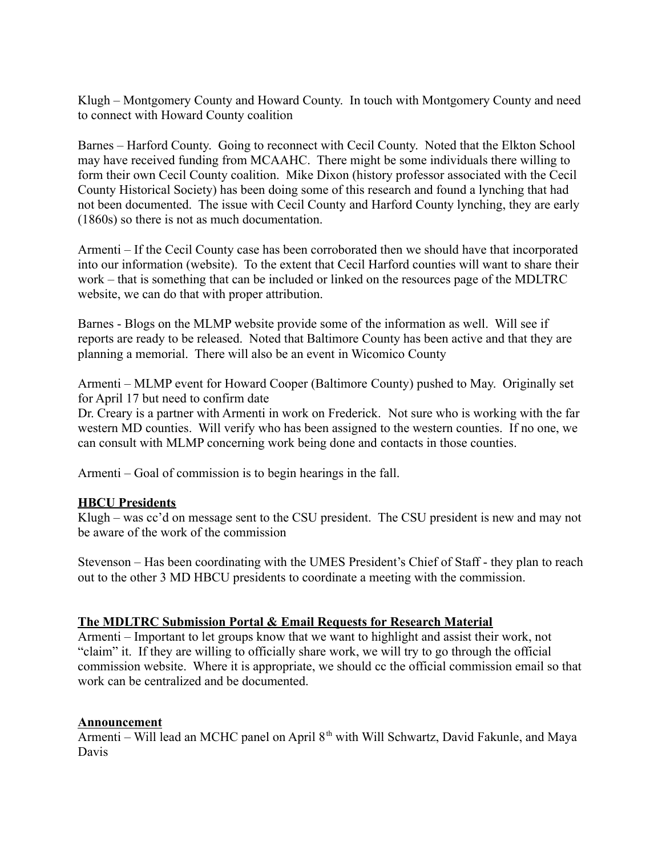Klugh – Montgomery County and Howard County. In touch with Montgomery County and need to connect with Howard County coalition

Barnes – Harford County. Going to reconnect with Cecil County. Noted that the Elkton School may have received funding from MCAAHC. There might be some individuals there willing to form their own Cecil County coalition. Mike Dixon (history professor associated with the Cecil County Historical Society) has been doing some of this research and found a lynching that had not been documented. The issue with Cecil County and Harford County lynching, they are early (1860s) so there is not as much documentation.

Armenti – If the Cecil County case has been corroborated then we should have that incorporated into our information (website). To the extent that Cecil Harford counties will want to share their work – that is something that can be included or linked on the resources page of the MDLTRC website, we can do that with proper attribution.

Barnes - Blogs on the MLMP website provide some of the information as well. Will see if reports are ready to be released. Noted that Baltimore County has been active and that they are planning a memorial. There will also be an event in Wicomico County

Armenti – MLMP event for Howard Cooper (Baltimore County) pushed to May. Originally set for April 17 but need to confirm date

Dr. Creary is a partner with Armenti in work on Frederick. Not sure who is working with the far western MD counties. Will verify who has been assigned to the western counties. If no one, we can consult with MLMP concerning work being done and contacts in those counties.

Armenti – Goal of commission is to begin hearings in the fall.

# **HBCU Presidents**

Klugh – was cc'd on message sent to the CSU president. The CSU president is new and may not be aware of the work of the commission

Stevenson – Has been coordinating with the UMES President's Chief of Staff - they plan to reach out to the other 3 MD HBCU presidents to coordinate a meeting with the commission.

### **The MDLTRC Submission Portal & Email Requests for Research Material**

Armenti – Important to let groups know that we want to highlight and assist their work, not "claim" it. If they are willing to officially share work, we will try to go through the official commission website. Where it is appropriate, we should cc the official commission email so that work can be centralized and be documented.

# **Announcement**

Armenti – Will lead an MCHC panel on April  $8<sup>th</sup>$  with Will Schwartz, David Fakunle, and Maya Davis